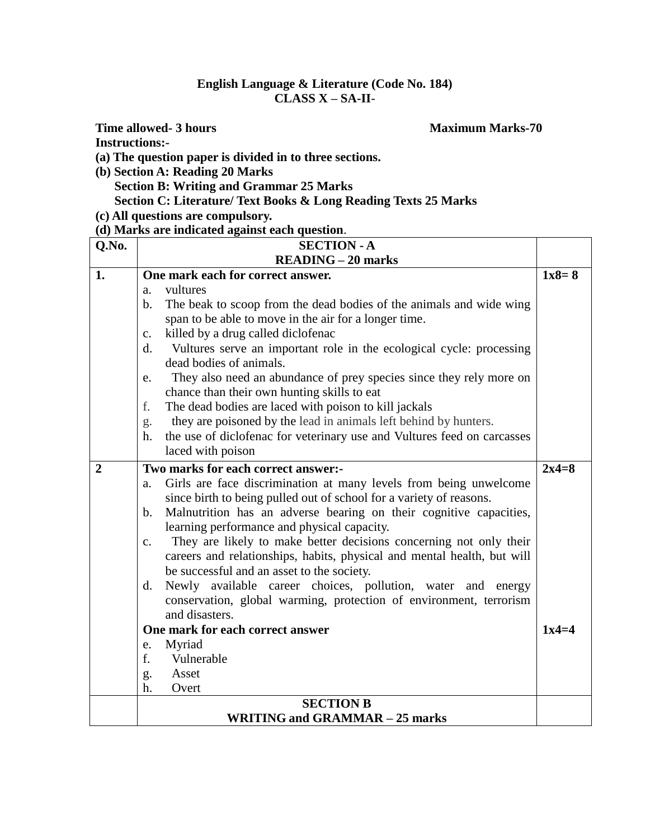## **English Language & Literature (Code No. 184) CLASS X – SA-II**-

## **Time allowed- 3 hours** Maximum Marks-70 **Instructions:-**

**(a) The question paper is divided in to three sections.**

- **(b) Section A: Reading 20 Marks Section B: Writing and Grammar 25 Marks Section C: Literature/ Text Books & Long Reading Texts 25 Marks**
- **(c) All questions are compulsory.**

## **(d) Marks are indicated against each question**.

| Q.No.          | <b>SECTION - A</b>                                                                     |         |
|----------------|----------------------------------------------------------------------------------------|---------|
|                | <b>READING - 20 marks</b>                                                              |         |
| 1.             | One mark each for correct answer.                                                      | $1x8=8$ |
|                | vultures<br>a <sub>z</sub>                                                             |         |
|                | $\mathbf{b}$ .<br>The beak to scoop from the dead bodies of the animals and wide wing  |         |
|                | span to be able to move in the air for a longer time.                                  |         |
|                | killed by a drug called diclofenac<br>$\mathbf{c}$ .                                   |         |
|                | Vultures serve an important role in the ecological cycle: processing<br>$\mathbf{d}$ . |         |
|                | dead bodies of animals.                                                                |         |
|                | They also need an abundance of prey species since they rely more on<br>e.              |         |
|                | chance than their own hunting skills to eat                                            |         |
|                | The dead bodies are laced with poison to kill jackals<br>f.                            |         |
|                | they are poisoned by the lead in animals left behind by hunters.<br>g.                 |         |
|                | the use of diclofenac for veterinary use and Vultures feed on carcasses<br>h.          |         |
|                | laced with poison                                                                      |         |
| $\overline{2}$ | Two marks for each correct answer:-                                                    | $2x4=8$ |
|                | Girls are face discrimination at many levels from being unwelcome<br>a.                |         |
|                | since birth to being pulled out of school for a variety of reasons.                    |         |
|                | Malnutrition has an adverse bearing on their cognitive capacities,<br>$\mathbf{b}$ .   |         |
|                | learning performance and physical capacity.                                            |         |
|                | They are likely to make better decisions concerning not only their<br>c.               |         |
|                | careers and relationships, habits, physical and mental health, but will                |         |
|                | be successful and an asset to the society.                                             |         |
|                | Newly available career choices, pollution, water and energy<br>d.                      |         |
|                | conservation, global warming, protection of environment, terrorism                     |         |
|                | and disasters.                                                                         |         |
|                | One mark for each correct answer                                                       | $1x4=4$ |
|                | Myriad<br>e.                                                                           |         |
|                | f.<br>Vulnerable                                                                       |         |
|                | Asset<br>g.                                                                            |         |
|                | Overt<br>h.                                                                            |         |
|                | <b>SECTION B</b>                                                                       |         |
|                | <b>WRITING and GRAMMAR - 25 marks</b>                                                  |         |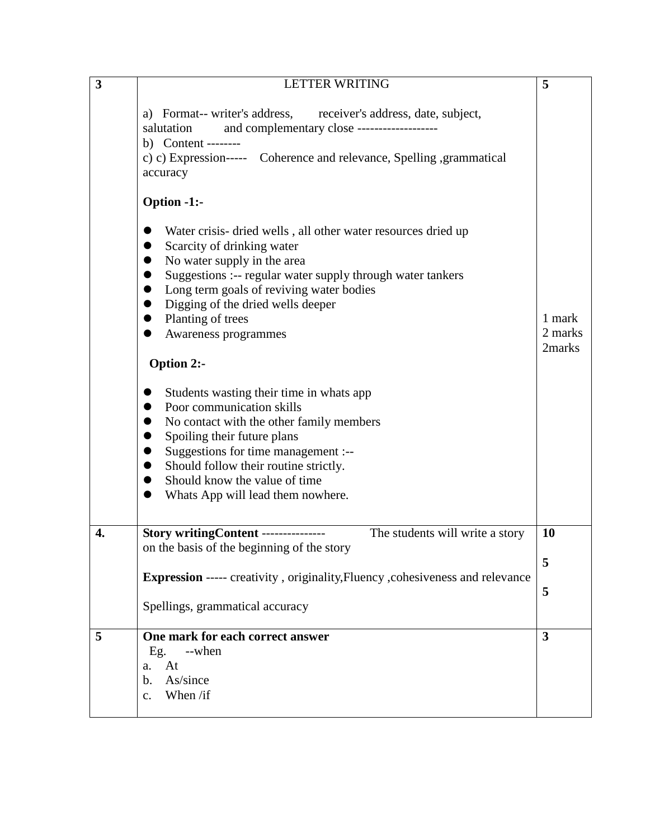| $\overline{\mathbf{3}}$ | <b>LETTER WRITING</b>                                                                                                                                                                                                                                                                                                                                                                                                                                                                                                                                                                                                                                                    | 5                           |
|-------------------------|--------------------------------------------------------------------------------------------------------------------------------------------------------------------------------------------------------------------------------------------------------------------------------------------------------------------------------------------------------------------------------------------------------------------------------------------------------------------------------------------------------------------------------------------------------------------------------------------------------------------------------------------------------------------------|-----------------------------|
|                         | a) Format-- writer's address, receiver's address, date, subject,<br>and complementary close -------------------<br>salutation<br>b) Content --------<br>c) c) Expression----- Coherence and relevance, Spelling , grammatical<br>accuracy<br><b>Option -1:-</b>                                                                                                                                                                                                                                                                                                                                                                                                          |                             |
|                         | Water crisis- dried wells, all other water resources dried up<br>Scarcity of drinking water<br>No water supply in the area<br>Suggestions :-- regular water supply through water tankers<br>Long term goals of reviving water bodies<br>Digging of the dried wells deeper<br>Planting of trees<br>$\bullet$<br>Awareness programmes<br>$\bullet$<br>Option 2:-<br>Students wasting their time in whats app<br>Poor communication skills<br>No contact with the other family members<br>Spoiling their future plans<br>Suggestions for time management :--<br>Should follow their routine strictly.<br>Should know the value of time<br>Whats App will lead them nowhere. | 1 mark<br>2 marks<br>2marks |
| 4.                      | Story writingContent --------------<br>The students will write a story<br>on the basis of the beginning of the story                                                                                                                                                                                                                                                                                                                                                                                                                                                                                                                                                     | 10                          |
|                         | <b>Expression</b> ----- creativity, originality, Fluency, cohesiveness and relevance                                                                                                                                                                                                                                                                                                                                                                                                                                                                                                                                                                                     | 5                           |
|                         | Spellings, grammatical accuracy                                                                                                                                                                                                                                                                                                                                                                                                                                                                                                                                                                                                                                          | 5                           |
| 5                       | One mark for each correct answer<br>Eg.<br>--when                                                                                                                                                                                                                                                                                                                                                                                                                                                                                                                                                                                                                        | 3                           |
|                         | At<br>a.<br>As/since<br>b.<br>When /if<br>$\mathbf{c}$ .                                                                                                                                                                                                                                                                                                                                                                                                                                                                                                                                                                                                                 |                             |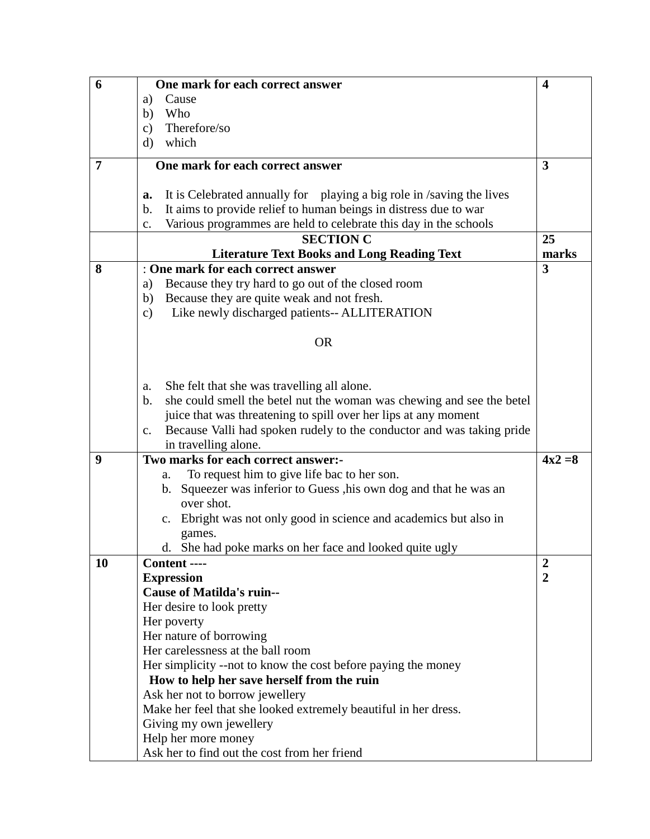| 6  | One mark for each correct answer                                                        | $\overline{\mathbf{4}}$ |
|----|-----------------------------------------------------------------------------------------|-------------------------|
|    | Cause<br>a)                                                                             |                         |
|    | b)<br>Who                                                                               |                         |
|    | Therefore/so<br>$\mathbf{c})$                                                           |                         |
|    | which<br>d)                                                                             |                         |
| 7  | One mark for each correct answer                                                        | 3                       |
|    |                                                                                         |                         |
|    | It is Celebrated annually for playing a big role in /saving the lives<br>a.             |                         |
|    | It aims to provide relief to human beings in distress due to war<br>b.                  |                         |
|    | Various programmes are held to celebrate this day in the schools<br>c.                  |                         |
|    | <b>SECTION C</b>                                                                        | 25                      |
|    | <b>Literature Text Books and Long Reading Text</b>                                      | marks                   |
| 8  | : One mark for each correct answer                                                      | 3                       |
|    | Because they try hard to go out of the closed room<br>a)                                |                         |
|    | Because they are quite weak and not fresh.<br>b)                                        |                         |
|    | Like newly discharged patients-- ALLITERATION<br>$\mathbf{c})$                          |                         |
|    | <b>OR</b>                                                                               |                         |
|    |                                                                                         |                         |
|    |                                                                                         |                         |
|    | She felt that she was travelling all alone.<br>a.                                       |                         |
|    | she could smell the betel nut the woman was chewing and see the betel<br>$\mathbf{b}$ . |                         |
|    | juice that was threatening to spill over her lips at any moment                         |                         |
|    | Because Valli had spoken rudely to the conductor and was taking pride<br>$c_{\cdot}$    |                         |
|    | in travelling alone.                                                                    |                         |
| 9  | Two marks for each correct answer:-                                                     | $4x^2 = 8$              |
|    | To request him to give life bac to her son.<br>a.                                       |                         |
|    | Squeezer was inferior to Guess , his own dog and that he was an<br>b.                   |                         |
|    | over shot.                                                                              |                         |
|    | c. Ebright was not only good in science and academics but also in                       |                         |
|    | games.                                                                                  |                         |
|    | d. She had poke marks on her face and looked quite ugly                                 |                         |
| 10 | Content ----                                                                            | $\overline{2}$          |
|    | <b>Expression</b>                                                                       | $\overline{2}$          |
|    | <b>Cause of Matilda's ruin--</b>                                                        |                         |
|    | Her desire to look pretty                                                               |                         |
|    | Her poverty                                                                             |                         |
|    | Her nature of borrowing                                                                 |                         |
|    | Her carelessness at the ball room                                                       |                         |
|    | Her simplicity --not to know the cost before paying the money                           |                         |
|    | How to help her save herself from the ruin                                              |                         |
|    | Ask her not to borrow jewellery                                                         |                         |
|    | Make her feel that she looked extremely beautiful in her dress.                         |                         |
|    | Giving my own jewellery                                                                 |                         |
|    | Help her more money                                                                     |                         |
|    | Ask her to find out the cost from her friend                                            |                         |